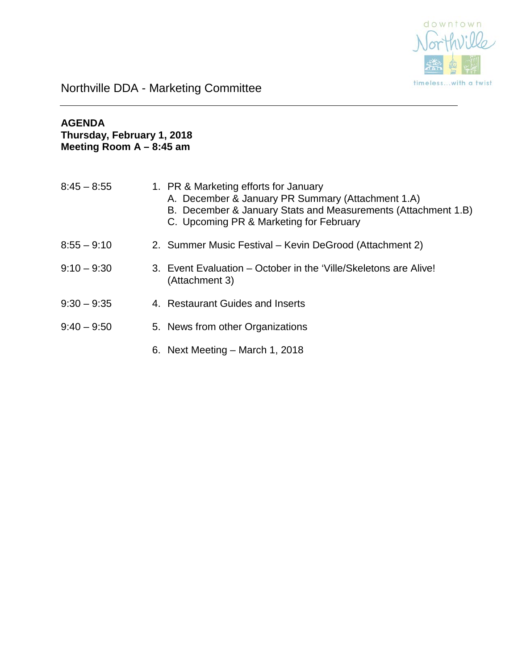

### **AGENDA Thursday, February 1, 2018 Meeting Room A – 8:45 am**

| $8:45 - 8:55$ | 1. PR & Marketing efforts for January<br>A. December & January PR Summary (Attachment 1.A)<br>B. December & January Stats and Measurements (Attachment 1.B)<br>C. Upcoming PR & Marketing for February |
|---------------|--------------------------------------------------------------------------------------------------------------------------------------------------------------------------------------------------------|
| $8:55 - 9:10$ | 2. Summer Music Festival – Kevin DeGrood (Attachment 2)                                                                                                                                                |
| $9:10 - 9:30$ | 3. Event Evaluation – October in the 'Ville/Skeletons are Alive!<br>(Attachment 3)                                                                                                                     |
| $9:30 - 9:35$ | 4. Restaurant Guides and Inserts                                                                                                                                                                       |
| $9:40 - 9:50$ | 5. News from other Organizations                                                                                                                                                                       |
|               | 6. Next Meeting – March 1, 2018                                                                                                                                                                        |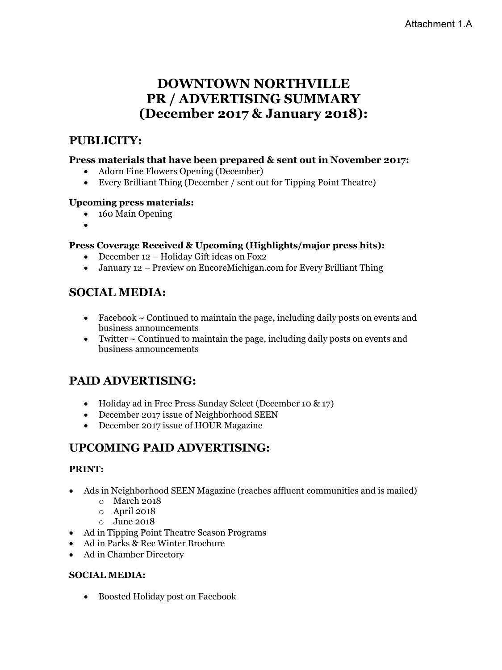## **DOWNTOWN NORTHVILLE PR / ADVERTISING SUMMARY (December 2017 & January 2018):**

### **PUBLICITY:**

### **Press materials that have been prepared & sent out in November 2017:**

- Adorn Fine Flowers Opening (December)
- Every Brilliant Thing (December / sent out for Tipping Point Theatre)

### **Upcoming press materials:**

- 160 Main Opening
- •

### **Press Coverage Received & Upcoming (Highlights/major press hits):**

- December 12 Holiday Gift ideas on Fox2
- January 12 Preview on EncoreMichigan.com for Every Brilliant Thing

### **SOCIAL MEDIA:**

- Facebook  $\sim$  Continued to maintain the page, including daily posts on events and business announcements
- Twitter  $\sim$  Continued to maintain the page, including daily posts on events and business announcements

### **PAID ADVERTISING:**

- Holiday ad in Free Press Sunday Select (December 10 & 17)
- December 2017 issue of Neighborhood SEEN
- December 2017 issue of HOUR Magazine

### **UPCOMING PAID ADVERTISING:**

### **PRINT:**

- Ads in Neighborhood SEEN Magazine (reaches affluent communities and is mailed)
	- o March 2018
	- o April 2018
	- o June 2018
- Ad in Tipping Point Theatre Season Programs
- Ad in Parks & Rec Winter Brochure
- Ad in Chamber Directory

### **SOCIAL MEDIA:**

• Boosted Holiday post on Facebook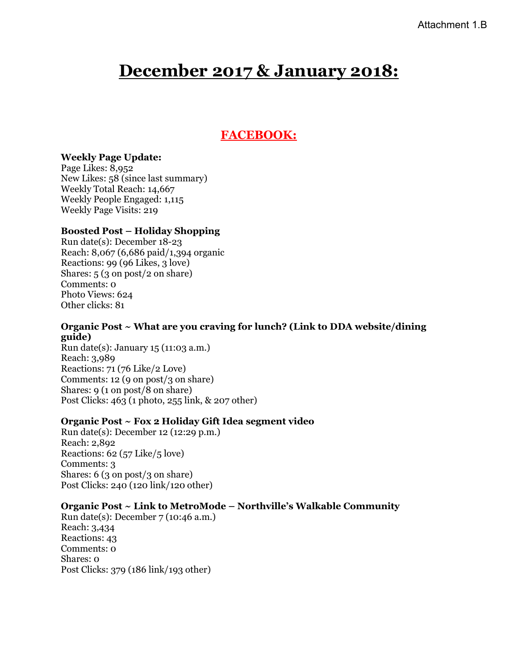# **December 2017 & January 2018:**

### **FACEBOOK:**

#### **Weekly Page Update:**

Page Likes: 8,952 New Likes: 58 (since last summary) Weekly Total Reach: 14,667 Weekly People Engaged: 1,115 Weekly Page Visits: 219

### **Boosted Post – Holiday Shopping**

Run date(s): December 18-23 Reach: 8,067 (6,686 paid/1,394 organic Reactions: 99 (96 Likes, 3 love) Shares: 5 (3 on post/2 on share) Comments: 0 Photo Views: 624 Other clicks: 81

#### **Organic Post ~ What are you craving for lunch? (Link to DDA website/dining guide)**

Run date(s): January 15 (11:03 a.m.) Reach: 3,989 Reactions: 71 (76 Like/2 Love) Comments: 12 (9 on post/3 on share) Shares: 9 (1 on post/8 on share) Post Clicks: 463 (1 photo, 255 link, & 207 other)

### **Organic Post ~ Fox 2 Holiday Gift Idea segment video**

Run date(s): December 12 (12:29 p.m.) Reach: 2,892 Reactions: 62 (57 Like/5 love) Comments: 3 Shares: 6 (3 on post/3 on share) Post Clicks: 240 (120 link/120 other)

#### **Organic Post ~ Link to MetroMode – Northville's Walkable Community**

Run date(s): December 7 (10:46 a.m.) Reach: 3,434 Reactions: 43 Comments: 0 Shares: 0 Post Clicks: 379 (186 link/193 other)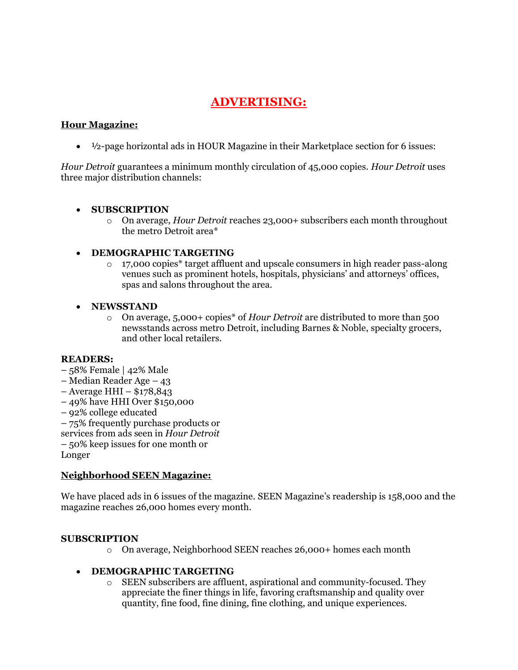### **ADVERTISING:**

### **Hour Magazine:**

 $\bullet$   $\frac{1}{2}$ -page horizontal ads in HOUR Magazine in their Marketplace section for 6 issues:

*Hour Detroit* guarantees a minimum monthly circulation of 45,000 copies. *Hour Detroit* uses three major distribution channels:

#### • **SUBSCRIPTION**

o On average, *Hour Detroit* reaches 23,000+ subscribers each month throughout the metro Detroit area\*

### • **DEMOGRAPHIC TARGETING**

 $\circ$  17,000 copies\* target affluent and upscale consumers in high reader pass-along venues such as prominent hotels, hospitals, physicians' and attorneys' offices, spas and salons throughout the area.

### • **NEWSSTAND**

o On average, 5,000+ copies\* of *Hour Detroit* are distributed to more than 500 newsstands across metro Detroit, including Barnes & Noble, specialty grocers, and other local retailers.

#### **READERS:**

- 58% Female | 42% Male
- Median Reader Age 43
- Average HHI \$178,843
- 49% have HHI Over \$150,000
- 92% college educated
- 75% frequently purchase products or
- services from ads seen in *Hour Detroit*
- 50% keep issues for one month or

Longer

### **Neighborhood SEEN Magazine:**

We have placed ads in 6 issues of the magazine. SEEN Magazine's readership is 158,000 and the magazine reaches 26,000 homes every month.

#### **SUBSCRIPTION**

o On average, Neighborhood SEEN reaches 26,000+ homes each month

### • **DEMOGRAPHIC TARGETING**

o SEEN subscribers are affluent, aspirational and community-focused. They appreciate the finer things in life, favoring craftsmanship and quality over quantity, fine food, fine dining, fine clothing, and unique experiences.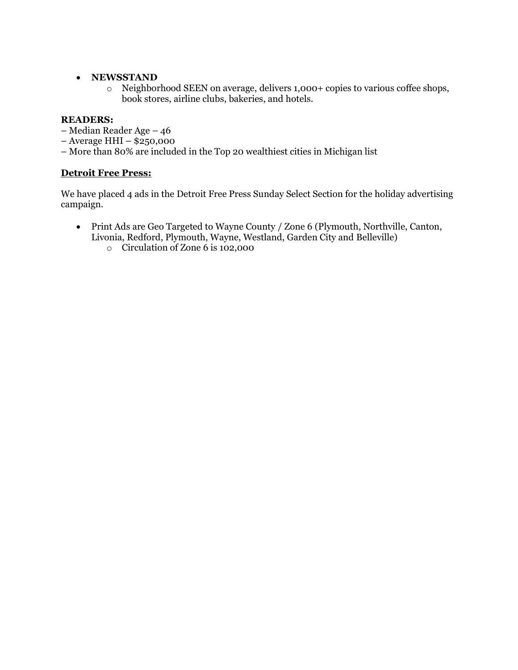### • **NEWSSTAND**

o Neighborhood SEEN on average, delivers 1,000+ copies to various coffee shops, book stores, airline clubs, bakeries, and hotels.

### **READERS:**

- Median Reader Age 46
- Average HHI \$250,000
- More than 80% are included in the Top 20 wealthiest cities in Michigan list

### **Detroit Free Press:**

We have placed 4 ads in the Detroit Free Press Sunday Select Section for the holiday advertising campaign.

- Print Ads are Geo Targeted to Wayne County / Zone 6 (Plymouth, Northville, Canton, Livonia, Redford, Plymouth, Wayne, Westland, Garden City and Belleville)
	- o Circulation of Zone 6 is 102,000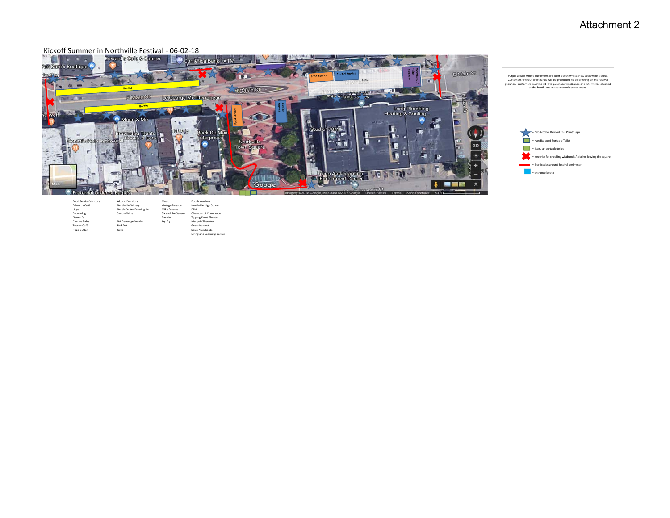### Attachment 2

#### Kickoff Summer in Northville Festival ‐ 06‐02‐18





Purple area is where customers will beer booth wristbands/beer/wine tickets.<br>Customers without wristbands will be prohibited to be drinking on the festival<br>grounds. Customers must be 21'+ to purchase wristbands and ID's wi

| <b>Food Service Vendors</b> | <b>Alcohol Vendors</b>   | Music              | <b>Booth Vendors</b>         |
|-----------------------------|--------------------------|--------------------|------------------------------|
| Edwards Café                | Northville Winerv        | Vintage Reissue    | Northville High School       |
| Urge                        | North Center Brewing Co. | Mike Freeman       | DDA                          |
| Browndoe                    | Simply Wine              | Six and the Sevens | Chamber of Commerce          |
| Genetti's                   |                          | Darwin             | <b>Tipping Point Theater</b> |
| Cherrie Baby                | NA Beverage Vendor       | Jay Fry            | Marquis Theeater             |
| Tuscan Café                 | Red Dot                  |                    | Great Harvest                |
| Pizza Cutter                | Urge                     |                    | Spice Merchants              |
|                             |                          |                    | Living and Learning Center   |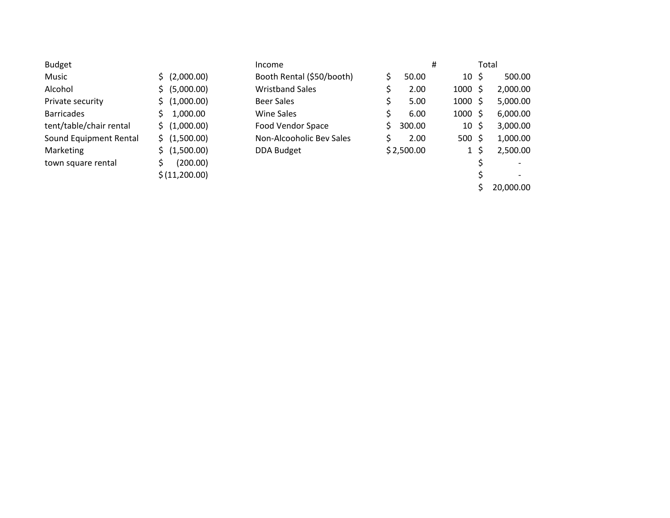| Budget                  |                  |
|-------------------------|------------------|
| Music                   | \$ (2,000.00)    |
| Alcohol                 | (5,000.00)<br>Ś. |
| Private security        | \$(1,000.00)     |
| <b>Barricades</b>       | 1,000.00<br>Ś.   |
| tent/table/chair rental | \$ (1,000.00)    |
| Sound Equipment Rental  | \$ (1,500.00)    |
| Marketing               | \$(1,500.00)     |
| town square rental      | (200.00)<br>Ś.   |
|                         | \$(11,200.00)    |

| <b>Budget</b>           |                          | Income                    |    |            | #                 | Total |          |
|-------------------------|--------------------------|---------------------------|----|------------|-------------------|-------|----------|
| Music                   | $\frac{1}{2}$ (2,000.00) | Booth Rental (\$50/booth) |    | 50.00      | $10 \;$ \$        |       | 500.00   |
| Alcohol                 | \$ (5,000.00)            | <b>Wristband Sales</b>    |    | 2.00       | $1000 \;$ \$      |       | 2,000.00 |
| Private security        | \$(1,000.00)             | <b>Beer Sales</b>         |    | 5.00       | $1000 \;$ \$      |       | 5,000.00 |
| <b>Barricades</b>       | 1,000.00                 | Wine Sales                |    | 6.00       | $1000 \;$ \$      |       | 6,000.00 |
| tent/table/chair rental | \$(1,000.00)             | <b>Food Vendor Space</b>  | S. | 300.00     | $10 \;$ \$        |       | 3,000.00 |
| Sound Equipment Rental  | \$ (1,500.00)            | Non-Alcooholic Bev Sales  |    | 2.00       | $500 \; \text{S}$ |       | 1,000.00 |
| Marketing               | \$(1,500.00)             | <b>DDA Budget</b>         |    | \$2,500.00 | $1\overline{5}$   |       | 2,500.00 |
| town square rental      | (200.00)                 |                           |    |            |                   |       |          |
|                         | \$(11,200.00)            |                           |    |            |                   |       |          |

\$ 20,000.00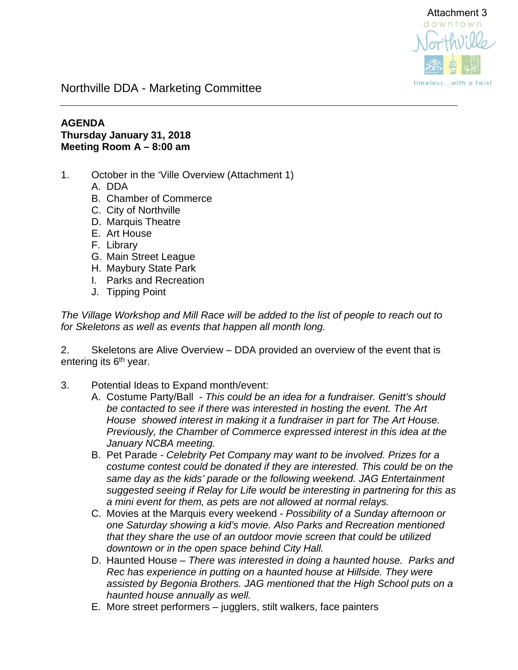

### **AGENDA Thursday January 31, 2018 Meeting Room A – 8:00 am**

- 1. October in the 'Ville Overview (Attachment 1)
	- A. DDA
	- B. Chamber of Commerce
	- C. City of Northville
	- D. Marquis Theatre
	- E. Art House
	- F. Library
	- G. Main Street League
	- H. Maybury State Park
	- I. Parks and Recreation
	- J. Tipping Point

*The Village Workshop and Mill Race will be added to the list of people to reach out to for Skeletons as well as events that happen all month long.* 

2. Skeletons are Alive Overview – DDA provided an overview of the event that is entering its  $6<sup>th</sup>$  year.

- 3. Potential Ideas to Expand month/event:
	- A. Costume Party/Ball  *This could be an idea for a fundraiser. Genitt's should be contacted to see if there was interested in hosting the event. The Art House showed interest in making it a fundraiser in part for The Art House. Previously, the Chamber of Commerce expressed interest in this idea at the January NCBA meeting.*
	- B. Pet Parade  *Celebrity Pet Company may want to be involved. Prizes for a costume contest could be donated if they are interested. This could be on the same day as the kids' parade or the following weekend. JAG Entertainment suggested seeing if Relay for Life would be interesting in partnering for this as a mini event for them, as pets are not allowed at normal relays.*
	- C. Movies at the Marquis every weekend *Possibility of a Sunday afternoon or one Saturday showing a kid's movie. Also Parks and Recreation mentioned that they share the use of an outdoor movie screen that could be utilized downtown or in the open space behind City Hall.*
	- D. Haunted House *There was interested in doing a haunted house. Parks and Rec has experience in putting on a haunted house at Hillside. They were assisted by Begonia Brothers. JAG mentioned that the High School puts on a haunted house annually as well.*
	- E. More street performers jugglers, stilt walkers, face painters